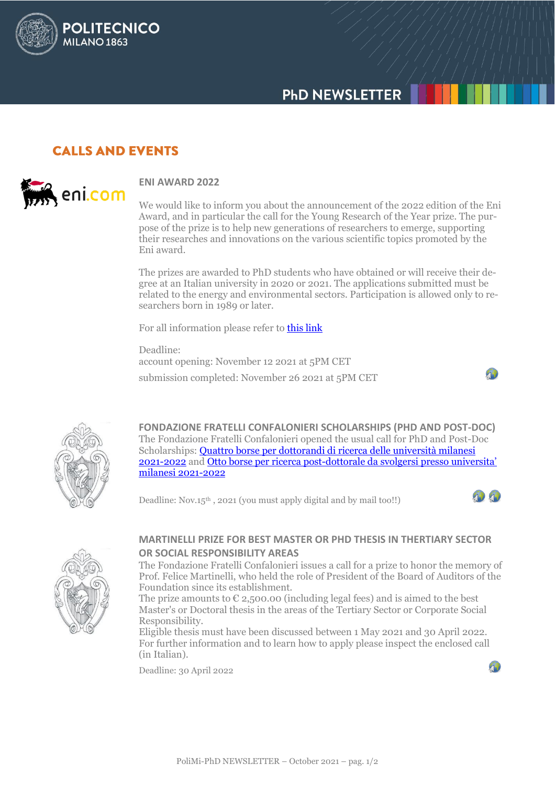# **PHD NEWSLETTER**

### **CALLS AND EVENTS**

POLITECNICO

**MILANO 1863** 



#### **ENI AWARD 2022**

We would like to inform you about the announcement of the 2022 edition of the Eni Award, and in particular the call for the Young Research of the Year prize. The purpose of the prize is to help new generations of researchers to emerge, supporting their researches and innovations on the various scientific topics promoted by the Eni award.

The prizes are awarded to PhD students who have obtained or will receive their degree at an Italian university in 2020 or 2021. The applications submitted must be related to the energy and environmental sectors. Participation is allowed only to researchers born in 1989 or later.

For all information please refer to [this link](https://customer43686.musvc2.net/e/t?q=5%3d5V8Z7%26E%3d3U%26o%3dW4b6%26H%3d9X9UA%26M%3diMvHt_KSuQ_Vc_JRvR_Tg_KSuQ_UhOxP.gFj.6qE_stUr_39kL-Jw_tsTs_48sBe7s6c-KdBgFuBhAd4_tsTs_43b4c8fGk-3x4t6.iMoD%26e%3dFwKw64.FfM%26kK%3d8b8S&mupckp=mupAtu4m8OiX0wt)

Deadline: account opening: November 12 2021 at 5PM CET submission completed: November 26 2021 at 5PM CET





**FONDAZIONE FRATELLI CONFALONIERI SCHOLARSHIPS (PHD AND POST-DOC)** The Fondazione Fratelli Confalonieri opened the usual call for PhD and Post-Doc Scholarships: [Quattro borse per dottorandi di ricerca delle università milanesi](http://www.dottorato.polimi.it/fileadmin/files/dottorato/newsletter/allegati/2021_09/Bando_Dottorandi_2021-2022.pdf) [2021-2022](http://www.dottorato.polimi.it/fileadmin/files/dottorato/newsletter/allegati/2021_09/Bando_Dottorandi_2021-2022.pdf) and Otto borse per ricerca post-[dottorale da svolgersi presso universita'](http://www.dottorato.polimi.it/fileadmin/files/dottorato/newsletter/allegati/2021_09/Bando_Post-Doc_2021-2022.pdf)  [milanesi 2021-2022](http://www.dottorato.polimi.it/fileadmin/files/dottorato/newsletter/allegati/2021_09/Bando_Post-Doc_2021-2022.pdf)

Deadline:  $Nov.15<sup>th</sup>$ , 2021 (you must apply digital and by mail too!!)





### **MARTINELLI PRIZE FOR BEST MASTER OR PHD THESIS IN THERTIARY SECTOR OR SOCIAL RESPONSIBILITY AREAS**

The Fondazione Fratelli Confalonieri issues a call for a prize to honor the memory of Prof. Felice Martinelli, who held the role of President of the Board of Auditors of the Foundation since its establishment.

The prize amounts to  $\epsilon$  2,500.00 (including legal fees) and is aimed to the best Master's or Doctoral thesis in the areas of the Tertiary Sector or Corporate Social Responsibility.

Eligible thesis must have been discussed between 1 May 2021 and 30 April 2022. For further information and to learn how to apply please inspect the enclosed call (in Italian).

Deadline: 30 April 2022